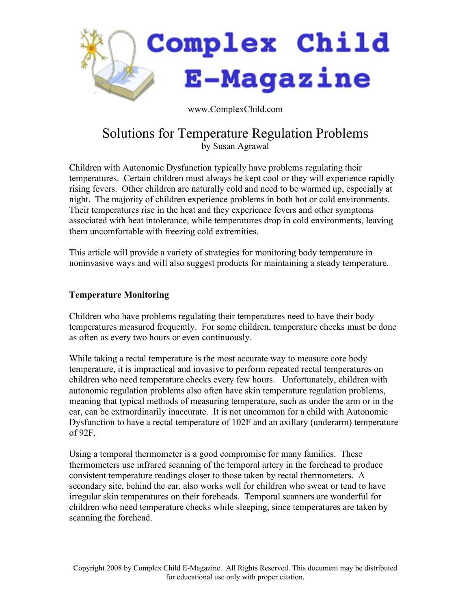

www.ComplexChild.com

# Solutions for Temperature Regulation Problems

by Susan Agrawal

Children with Autonomic Dysfunction typically have problems regulating their temperatures. Certain children must always be kept cool or they will experience rapidly rising fevers. Other children are naturally cold and need to be warmed up, especially at night. The majority of children experience problems in both hot or cold environments. Their temperatures rise in the heat and they experience fevers and other symptoms associated with heat intolerance, while temperatures drop in cold environments, leaving them uncomfortable with freezing cold extremities.

This article will provide a variety of strategies for monitoring body temperature in noninvasive ways and will also suggest products for maintaining a steady temperature.

## **Temperature Monitoring**

Children who have problems regulating their temperatures need to have their body temperatures measured frequently. For some children, temperature checks must be done as often as every two hours or even continuously.

While taking a rectal temperature is the most accurate way to measure core body temperature, it is impractical and invasive to perform repeated rectal temperatures on children who need temperature checks every few hours. Unfortunately, children with autonomic regulation problems also often have skin temperature regulation problems, meaning that typical methods of measuring temperature, such as under the arm or in the ear, can be extraordinarily inaccurate. It is not uncommon for a child with Autonomic Dysfunction to have a rectal temperature of 102F and an axillary (underarm) temperature  $of 92F.$ 

Using a temporal thermometer is a good compromise for many families. These thermometers use infrared scanning of the temporal artery in the forehead to produce consistent temperature readings closer to those taken by rectal thermometers. A secondary site, behind the ear, also works well for children who sweat or tend to have irregular skin temperatures on their foreheads. Temporal scanners are wonderful for children who need temperature checks while sleeping, since temperatures are taken by scanning the forehead.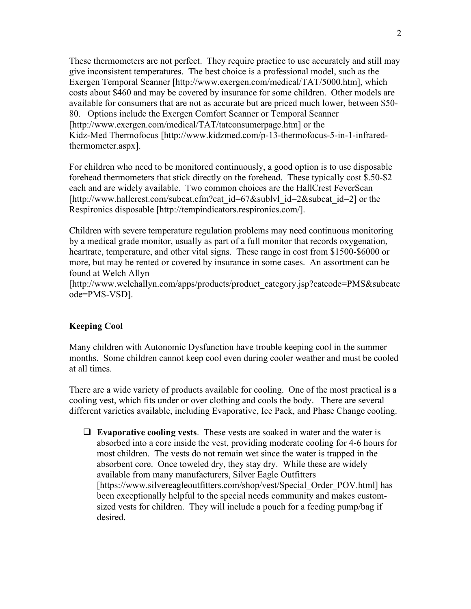These thermometers are not perfect. They require practice to use accurately and still may give inconsistent temperatures. The best choice is a professional model, such as the Exergen Temporal Scanner [http://www.exergen.com/medical/TAT/5000.htm], which costs about \$460 and may be covered by insurance for some children. Other models are available for consumers that are not as accurate but are priced much lower, between \$50- 80. Options include the Exergen Comfort Scanner or Temporal Scanner [http://www.exergen.com/medical/TAT/tatconsumerpage.htm] or the Kidz-Med Thermofocus [http://www.kidzmed.com/p-13-thermofocus-5-in-1-infraredthermometer.aspx].

For children who need to be monitored continuously, a good option is to use disposable forehead thermometers that stick directly on the forehead. These typically cost \$.50-\$2 each and are widely available. Two common choices are the HallCrest FeverScan [http://www.hallcrest.com/subcat.cfm?cat\_id=67&sublyl\_id=2&subcat\_id=2] or the Respironics disposable [http://tempindicators.respironics.com/].

Children with severe temperature regulation problems may need continuous monitoring by a medical grade monitor, usually as part of a full monitor that records oxygenation, heartrate, temperature, and other vital signs. These range in cost from \$1500-\$6000 or more, but may be rented or covered by insurance in some cases. An assortment can be found at Welch Allyn

[http://www.welchallyn.com/apps/products/product\_category.jsp?catcode=PMS&subcatc ode=PMS-VSD].

### **Keeping Cool**

Many children with Autonomic Dysfunction have trouble keeping cool in the summer months. Some children cannot keep cool even during cooler weather and must be cooled at all times.

There are a wide variety of products available for cooling. One of the most practical is a cooling vest, which fits under or over clothing and cools the body. There are several different varieties available, including Evaporative, Ice Pack, and Phase Change cooling.

 **Evaporative cooling vests**. These vests are soaked in water and the water is absorbed into a core inside the vest, providing moderate cooling for 4-6 hours for most children. The vests do not remain wet since the water is trapped in the absorbent core. Once toweled dry, they stay dry. While these are widely available from many manufacturers, Silver Eagle Outfitters [https://www.silvereagleoutfitters.com/shop/vest/Special\_Order\_POV.html] has been exceptionally helpful to the special needs community and makes customsized vests for children. They will include a pouch for a feeding pump/bag if desired.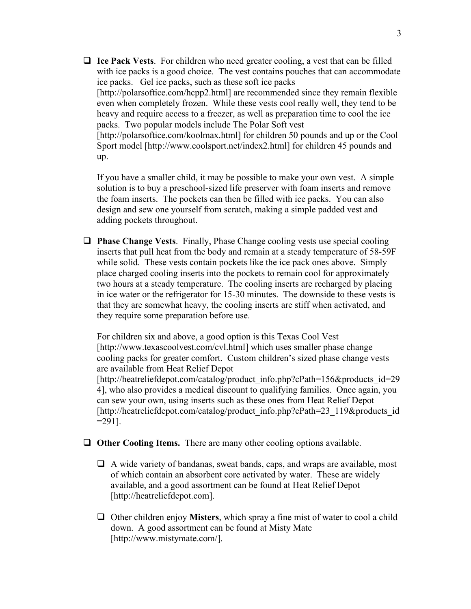**Ice Pack Vests**. For children who need greater cooling, a vest that can be filled with ice packs is a good choice. The vest contains pouches that can accommodate ice packs. Gel ice packs, such as these soft ice packs [http://polarsoftice.com/hcpp2.html] are recommended since they remain flexible even when completely frozen. While these vests cool really well, they tend to be heavy and require access to a freezer, as well as preparation time to cool the ice packs. Two popular models include The Polar Soft vest [http://polarsoftice.com/koolmax.html] for children 50 pounds and up or the Cool Sport model [http://www.coolsport.net/index2.html] for children 45 pounds and up.

If you have a smaller child, it may be possible to make your own vest. A simple solution is to buy a preschool-sized life preserver with foam inserts and remove the foam inserts. The pockets can then be filled with ice packs. You can also design and sew one yourself from scratch, making a simple padded vest and adding pockets throughout.

 **Phase Change Vests**. Finally, Phase Change cooling vests use special cooling inserts that pull heat from the body and remain at a steady temperature of 58-59F while solid. These vests contain pockets like the ice pack ones above. Simply place charged cooling inserts into the pockets to remain cool for approximately two hours at a steady temperature. The cooling inserts are recharged by placing in ice water or the refrigerator for 15-30 minutes. The downside to these vests is that they are somewhat heavy, the cooling inserts are stiff when activated, and they require some preparation before use.

For children six and above, a good option is this Texas Cool Vest [http://www.texascoolvest.com/cvl.html] which uses smaller phase change cooling packs for greater comfort. Custom children's sized phase change vests are available from Heat Relief Depot [http://heatreliefdepot.com/catalog/product\_info.php?cPath=156&products\_id=29 4], who also provides a medical discount to qualifying families. Once again, you can sew your own, using inserts such as these ones from Heat Relief Depot [http://heatreliefdepot.com/catalog/product\_info.php?cPath=23\_119&products\_id  $=291$ ].

- **Other Cooling Items.** There are many other cooling options available.
	- A wide variety of bandanas, sweat bands, caps, and wraps are available, most of which contain an absorbent core activated by water. These are widely available, and a good assortment can be found at Heat Relief Depot [http://heatreliefdepot.com].
	- Other children enjoy **Misters**, which spray a fine mist of water to cool a child down. A good assortment can be found at Misty Mate [http://www.mistymate.com/].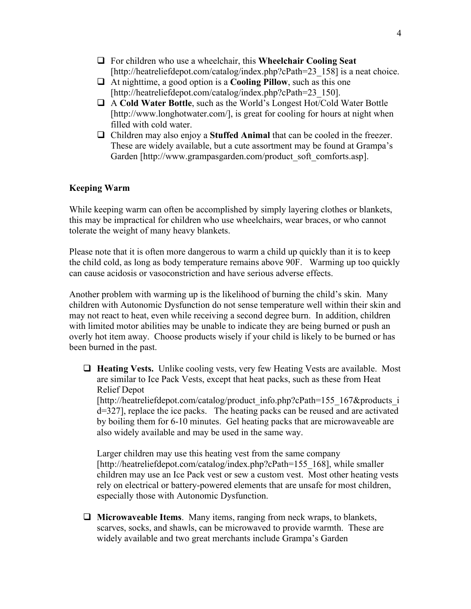- For children who use a wheelchair, this **Wheelchair Cooling Seat** [http://heatreliefdepot.com/catalog/index.php?cPath=23\_158] is a neat choice.
- At nighttime, a good option is a **Cooling Pillow**, such as this one [http://heatreliefdepot.com/catalog/index.php?cPath=23\_150].
- A **Cold Water Bottle**, such as the World's Longest Hot/Cold Water Bottle [http://www.longhotwater.com/], is great for cooling for hours at night when filled with cold water.
- Children may also enjoy a **Stuffed Animal** that can be cooled in the freezer. These are widely available, but a cute assortment may be found at Grampa's Garden [http://www.grampasgarden.com/product\_soft\_comforts.asp].

## **Keeping Warm**

While keeping warm can often be accomplished by simply layering clothes or blankets, this may be impractical for children who use wheelchairs, wear braces, or who cannot tolerate the weight of many heavy blankets.

Please note that it is often more dangerous to warm a child up quickly than it is to keep the child cold, as long as body temperature remains above 90F. Warming up too quickly can cause acidosis or vasoconstriction and have serious adverse effects.

Another problem with warming up is the likelihood of burning the child's skin. Many children with Autonomic Dysfunction do not sense temperature well within their skin and may not react to heat, even while receiving a second degree burn. In addition, children with limited motor abilities may be unable to indicate they are being burned or push an overly hot item away. Choose products wisely if your child is likely to be burned or has been burned in the past.

 **Heating Vests.** Unlike cooling vests, very few Heating Vests are available. Most are similar to Ice Pack Vests, except that heat packs, such as these from Heat Relief Depot [http://heatreliefdepot.com/catalog/product\_info.php?cPath=155\_167&products\_i d=327], replace the ice packs. The heating packs can be reused and are activated by boiling them for 6-10 minutes. Gel heating packs that are microwaveable are also widely available and may be used in the same way.

Larger children may use this heating vest from the same company [http://heatreliefdepot.com/catalog/index.php?cPath=155\_168], while smaller children may use an Ice Pack vest or sew a custom vest. Most other heating vests rely on electrical or battery-powered elements that are unsafe for most children, especially those with Autonomic Dysfunction.

 **Microwaveable Items**. Many items, ranging from neck wraps, to blankets, scarves, socks, and shawls, can be microwaved to provide warmth. These are widely available and two great merchants include Grampa's Garden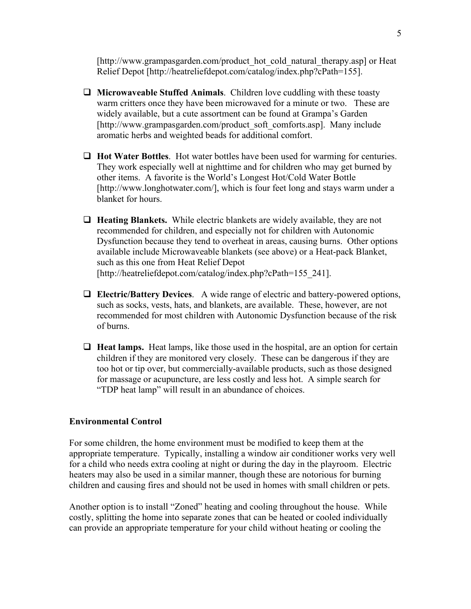[http://www.grampasgarden.com/product\_hot\_cold\_natural\_therapy.asp] or Heat Relief Depot [http://heatreliefdepot.com/catalog/index.php?cPath=155].

- **Microwaveable Stuffed Animals**. Children love cuddling with these toasty warm critters once they have been microwaved for a minute or two. These are widely available, but a cute assortment can be found at Grampa's Garden [http://www.grampasgarden.com/product\_soft\_comforts.asp]. Many include aromatic herbs and weighted beads for additional comfort.
- **Hot Water Bottles**. Hot water bottles have been used for warming for centuries. They work especially well at nighttime and for children who may get burned by other items. A favorite is the World's Longest Hot/Cold Water Bottle [http://www.longhotwater.com/], which is four feet long and stays warm under a blanket for hours.
- **Heating Blankets.** While electric blankets are widely available, they are not recommended for children, and especially not for children with Autonomic Dysfunction because they tend to overheat in areas, causing burns. Other options available include Microwaveable blankets (see above) or a Heat-pack Blanket, such as this one from Heat Relief Depot [http://heatreliefdepot.com/catalog/index.php?cPath=155\_241].
- **Electric/Battery Devices**. A wide range of electric and battery-powered options, such as socks, vests, hats, and blankets, are available. These, however, are not recommended for most children with Autonomic Dysfunction because of the risk of burns.
- **Heat lamps.** Heat lamps, like those used in the hospital, are an option for certain children if they are monitored very closely. These can be dangerous if they are too hot or tip over, but commercially-available products, such as those designed for massage or acupuncture, are less costly and less hot. A simple search for "TDP heat lamp" will result in an abundance of choices.

### **Environmental Control**

For some children, the home environment must be modified to keep them at the appropriate temperature. Typically, installing a window air conditioner works very well for a child who needs extra cooling at night or during the day in the playroom. Electric heaters may also be used in a similar manner, though these are notorious for burning children and causing fires and should not be used in homes with small children or pets.

Another option is to install "Zoned" heating and cooling throughout the house. While costly, splitting the home into separate zones that can be heated or cooled individually can provide an appropriate temperature for your child without heating or cooling the